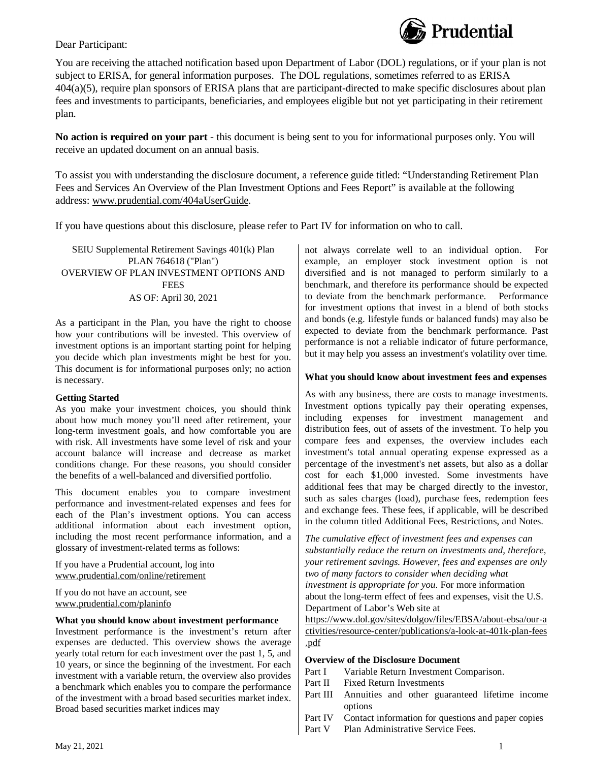

### Dear Participant:

You are receiving the attached notification based upon Department of Labor (DOL) regulations, or if your plan is not subject to ERISA, for general information purposes. The DOL regulations, sometimes referred to as ERISA 404(a)(5), require plan sponsors of ERISA plans that are participant-directed to make specific disclosures about plan fees and investments to participants, beneficiaries, and employees eligible but not yet participating in their retirement plan.

**No action is required on your part** - this document is being sent to you for informational purposes only. You will receive an updated document on an annual basis.

To assist you with understanding the disclosure document, a reference guide titled: "Understanding Retirement Plan Fees and Services An Overview of the Plan Investment Options and Fees Report" is available at the following address: www.prudential.com/404aUserGuide.

If you have questions about this disclosure, please refer to Part IV for information on who to call.

SEIU Supplemental Retirement Savings 401(k) Plan PLAN 764618 ("Plan") OVERVIEW OF PLAN INVESTMENT OPTIONS AND **FEES** AS OF: April 30, 2021

As a participant in the Plan, you have the right to choose how your contributions will be invested. This overview of investment options is an important starting point for helping you decide which plan investments might be best for you. This document is for informational purposes only; no action is necessary.

#### **Getting Started**

As you make your investment choices, you should think about how much money you'll need after retirement, your long-term investment goals, and how comfortable you are with risk. All investments have some level of risk and your account balance will increase and decrease as market conditions change. For these reasons, you should consider the benefits of a well-balanced and diversified portfolio.

This document enables you to compare investment performance and investment-related expenses and fees for each of the Plan's investment options. You can access additional information about each investment option, including the most recent performance information, and a glossary of investment-related terms as follows:

If you have a Prudential account, log into www.prudential.com/online/retirement

If you do not have an account, see www.prudential.com/planinfo

#### **What you should know about investment performance**

Investment performance is the investment's return after expenses are deducted. This overview shows the average yearly total return for each investment over the past 1, 5, and 10 years, or since the beginning of the investment. For each  $\left| \begin{array}{c} \mathbf{Over} \\ \mathbf{Part} \end{array} \right|$ investment with a variable return, the overview also provides  $\begin{bmatrix} \text{Part I} \\ \text{Part II} \end{bmatrix}$ a benchmark which enables you to compare the performance  $\begin{bmatrix} \text{Part II} \\ \text{Part III} \end{bmatrix}$ of the investment with a broad based securities market index. Broad based securities market indices may

not always correlate well to an individual option. For example, an employer stock investment option is not diversified and is not managed to perform similarly to a benchmark, and therefore its performance should be expected to deviate from the benchmark performance. Performance for investment options that invest in a blend of both stocks and bonds (e.g. lifestyle funds or balanced funds) may also be expected to deviate from the benchmark performance. Past performance is not a reliable indicator of future performance, but it may help you assess an investment's volatility over time.

### **What you should know about investment fees and expenses**

As with any business, there are costs to manage investments. Investment options typically pay their operating expenses, including expenses for investment management and distribution fees, out of assets of the investment. To help you compare fees and expenses, the overview includes each investment's total annual operating expense expressed as a percentage of the investment's net assets, but also as a dollar cost for each \$1,000 invested. Some investments have additional fees that may be charged directly to the investor, such as sales charges (load), purchase fees, redemption fees and exchange fees. These fees, if applicable, will be described in the column titled Additional Fees, Restrictions, and Notes.

*The cumulative effect of investment fees and expenses can substantially reduce the return on investments and, therefore, your retirement savings. However, fees and expenses are only two of many factors to consider when deciding what investment is appropriate for you*. For more information about the long-term effect of fees and expenses, visit the U.S. Department of Labor's Web site at

https://www.dol.gov/sites/dolgov/files/EBSA/about-ebsa/our-a ctivities/resource-center/publications/a-look-at-401k-plan-fees .pdf

#### **Overview of the Disclosure Document**

- Variable Return Investment Comparison.
- Fixed Return Investments
- Annuities and other guaranteed lifetime income options
- Part IV Contact information for questions and paper copies
- Part V Plan Administrative Service Fees.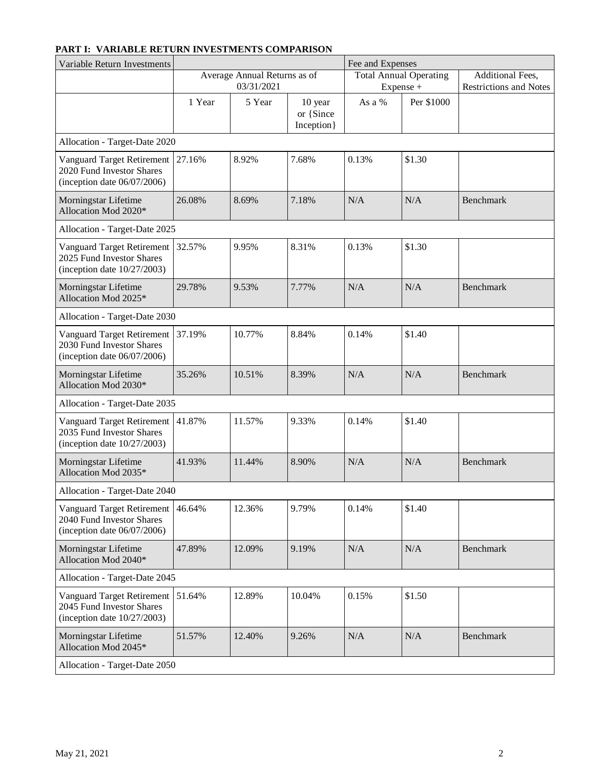| Variable Return Investments                                                                      |                                            |        |                                     | Fee and Expenses                           |            |                                                   |
|--------------------------------------------------------------------------------------------------|--------------------------------------------|--------|-------------------------------------|--------------------------------------------|------------|---------------------------------------------------|
|                                                                                                  | Average Annual Returns as of<br>03/31/2021 |        |                                     | <b>Total Annual Operating</b><br>Expense + |            | Additional Fees,<br><b>Restrictions and Notes</b> |
|                                                                                                  | 1 Year                                     | 5 Year | 10 year<br>or {Since<br>Inception } | As a %                                     | Per \$1000 |                                                   |
| Allocation - Target-Date 2020                                                                    |                                            |        |                                     |                                            |            |                                                   |
| <b>Vanguard Target Retirement</b><br>2020 Fund Investor Shares<br>(inception date $06/07/2006$ ) | 27.16%                                     | 8.92%  | 7.68%                               | 0.13%                                      | \$1.30     |                                                   |
| Morningstar Lifetime<br>Allocation Mod 2020*                                                     | 26.08%                                     | 8.69%  | 7.18%                               | N/A                                        | N/A        | <b>Benchmark</b>                                  |
| Allocation - Target-Date 2025                                                                    |                                            |        |                                     |                                            |            |                                                   |
| <b>Vanguard Target Retirement</b><br>2025 Fund Investor Shares<br>(inception date $10/27/2003$ ) | 32.57%                                     | 9.95%  | 8.31%                               | 0.13%                                      | \$1.30     |                                                   |
| Morningstar Lifetime<br>Allocation Mod 2025*                                                     | 29.78%                                     | 9.53%  | 7.77%                               | N/A                                        | N/A        | <b>Benchmark</b>                                  |
| Allocation - Target-Date 2030                                                                    |                                            |        |                                     |                                            |            |                                                   |
| Vanguard Target Retirement<br>2030 Fund Investor Shares<br>(inception date $06/07/2006$ )        | 37.19%                                     | 10.77% | 8.84%                               | 0.14%                                      | \$1.40     |                                                   |
| Morningstar Lifetime<br>Allocation Mod 2030*                                                     | 35.26%                                     | 10.51% | 8.39%                               | N/A                                        | N/A        | <b>Benchmark</b>                                  |
| Allocation - Target-Date 2035                                                                    |                                            |        |                                     |                                            |            |                                                   |
| <b>Vanguard Target Retirement</b><br>2035 Fund Investor Shares<br>(inception date $10/27/2003$ ) | 41.87%                                     | 11.57% | 9.33%                               | 0.14%                                      | \$1.40     |                                                   |
| Morningstar Lifetime<br>Allocation Mod 2035*                                                     | 41.93%                                     | 11.44% | 8.90%                               | N/A                                        | N/A        | Benchmark                                         |
| Allocation - Target-Date 2040                                                                    |                                            |        |                                     |                                            |            |                                                   |
| <b>Vanguard Target Retirement</b><br>2040 Fund Investor Shares<br>(inception date $06/07/2006$ ) | 46.64%                                     | 12.36% | 9.79%                               | 0.14%                                      | \$1.40     |                                                   |
| Morningstar Lifetime<br>Allocation Mod 2040*                                                     | 47.89%                                     | 12.09% | 9.19%                               | N/A                                        | N/A        | Benchmark                                         |
| Allocation - Target-Date 2045                                                                    |                                            |        |                                     |                                            |            |                                                   |
| <b>Vanguard Target Retirement</b><br>2045 Fund Investor Shares<br>(inception date $10/27/2003$ ) | 51.64%                                     | 12.89% | 10.04%                              | 0.15%                                      | \$1.50     |                                                   |
| Morningstar Lifetime<br>Allocation Mod 2045*                                                     | 51.57%                                     | 12.40% | 9.26%                               | $\rm N/A$                                  | N/A        | Benchmark                                         |
| Allocation - Target-Date 2050                                                                    |                                            |        |                                     |                                            |            |                                                   |

# **PART I: VARIABLE RETURN INVESTMENTS COMPARISON**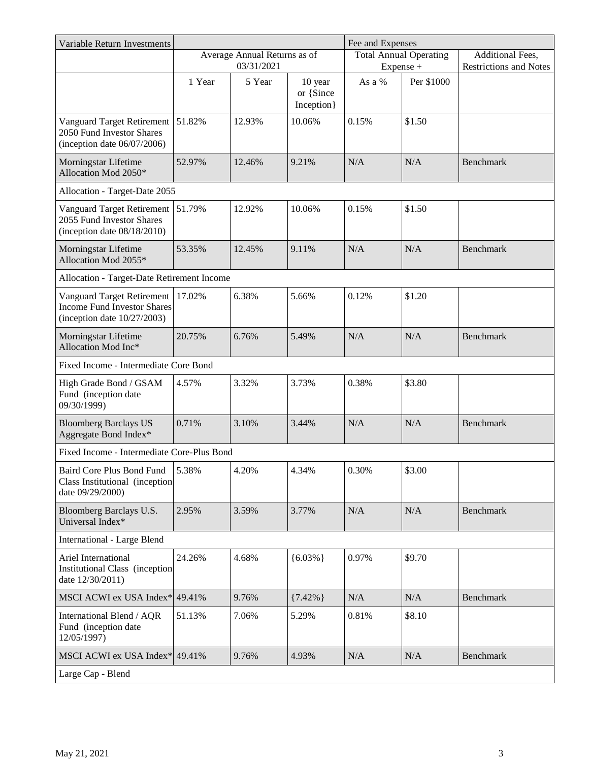| Variable Return Investments                                                                               |                                            |        |                                     | Fee and Expenses              |            |                               |
|-----------------------------------------------------------------------------------------------------------|--------------------------------------------|--------|-------------------------------------|-------------------------------|------------|-------------------------------|
|                                                                                                           | Average Annual Returns as of<br>03/31/2021 |        |                                     | <b>Total Annual Operating</b> |            | Additional Fees,              |
|                                                                                                           |                                            |        |                                     |                               | Expense +  | <b>Restrictions and Notes</b> |
|                                                                                                           | 1 Year                                     | 5 Year | 10 year<br>or {Since<br>Inception } | As a %                        | Per \$1000 |                               |
| Vanguard Target Retirement<br>2050 Fund Investor Shares<br>(inception date $06/07/2006$ )                 | 51.82%                                     | 12.93% | 10.06%                              | 0.15%                         | \$1.50     |                               |
| Morningstar Lifetime<br>Allocation Mod 2050*                                                              | 52.97%                                     | 12.46% | 9.21%                               | N/A                           | N/A        | <b>Benchmark</b>              |
| Allocation - Target-Date 2055                                                                             |                                            |        |                                     |                               |            |                               |
| <b>Vanguard Target Retirement</b><br>2055 Fund Investor Shares<br>(inception date $08/18/2010$ )          | 51.79%                                     | 12.92% | 10.06%                              | 0.15%                         | \$1.50     |                               |
| Morningstar Lifetime<br>Allocation Mod 2055*                                                              | 53.35%                                     | 12.45% | 9.11%                               | N/A                           | N/A        | <b>Benchmark</b>              |
| Allocation - Target-Date Retirement Income                                                                |                                            |        |                                     |                               |            |                               |
| <b>Vanguard Target Retirement</b><br><b>Income Fund Investor Shares</b><br>(inception date $10/27/2003$ ) | 17.02%                                     | 6.38%  | 5.66%                               | 0.12%                         | \$1.20     |                               |
| Morningstar Lifetime<br>Allocation Mod Inc*                                                               | 20.75%                                     | 6.76%  | 5.49%                               | N/A                           | N/A        | <b>Benchmark</b>              |
| Fixed Income - Intermediate Core Bond                                                                     |                                            |        |                                     |                               |            |                               |
| High Grade Bond / GSAM<br>Fund (inception date<br>09/30/1999)                                             | 4.57%                                      | 3.32%  | 3.73%                               | 0.38%                         | \$3.80     |                               |
| <b>Bloomberg Barclays US</b><br>Aggregate Bond Index*                                                     | 0.71%                                      | 3.10%  | 3.44%                               | N/A                           | N/A        | <b>Benchmark</b>              |
| Fixed Income - Intermediate Core-Plus Bond                                                                |                                            |        |                                     |                               |            |                               |
| <b>Baird Core Plus Bond Fund</b><br>Class Institutional (inception<br>date 09/29/2000)                    | 5.38%                                      | 4.20%  | 4.34%                               | 0.30%                         | \$3.00     |                               |
| Bloomberg Barclays U.S.<br>Universal Index*                                                               | 2.95%                                      | 3.59%  | 3.77%                               | N/A                           | N/A        | <b>Benchmark</b>              |
| <b>International - Large Blend</b>                                                                        |                                            |        |                                     |                               |            |                               |
| Ariel International<br><b>Institutional Class</b> (inception<br>date 12/30/2011)                          | 24.26%                                     | 4.68%  | ${6.03\%}$                          | 0.97%                         | \$9.70     |                               |
| MSCI ACWI ex USA Index* 49.41%                                                                            |                                            | 9.76%  | ${7.42\%}$                          | N/A                           | N/A        | Benchmark                     |
| International Blend / AQR<br>Fund (inception date<br>12/05/1997)                                          | 51.13%                                     | 7.06%  | 5.29%                               | 0.81%                         | \$8.10     |                               |
| MSCI ACWI ex USA Index $*$ 49.41%                                                                         |                                            | 9.76%  | 4.93%                               | N/A                           | N/A        | Benchmark                     |
| Large Cap - Blend                                                                                         |                                            |        |                                     |                               |            |                               |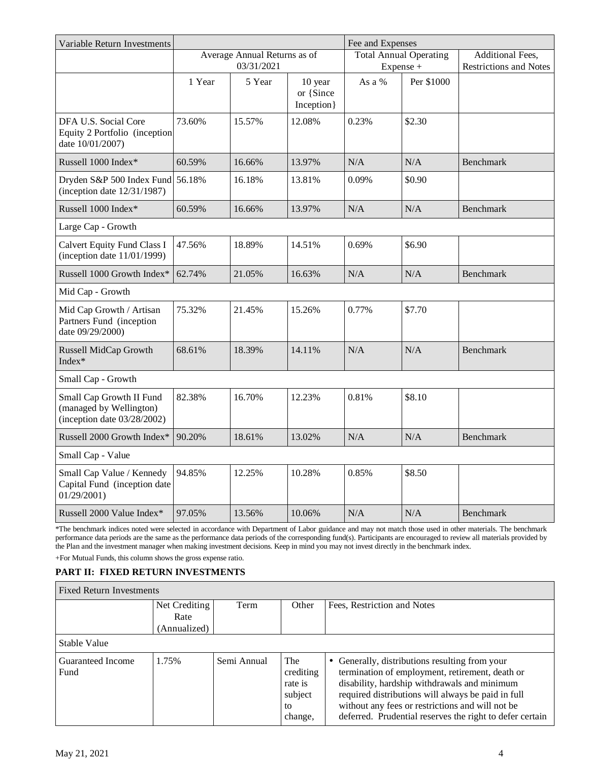| Variable Return Investments                                                           |                                            |        |                                     | Fee and Expenses                           |            |                                                   |
|---------------------------------------------------------------------------------------|--------------------------------------------|--------|-------------------------------------|--------------------------------------------|------------|---------------------------------------------------|
|                                                                                       | Average Annual Returns as of<br>03/31/2021 |        |                                     | <b>Total Annual Operating</b><br>Expense + |            | Additional Fees,<br><b>Restrictions and Notes</b> |
|                                                                                       | 1 Year                                     | 5 Year | 10 year<br>or {Since<br>Inception } | As a %                                     | Per \$1000 |                                                   |
| DFA U.S. Social Core<br>Equity 2 Portfolio (inception)<br>date 10/01/2007)            | 73.60%                                     | 15.57% | 12.08%                              | 0.23%                                      | \$2.30     |                                                   |
| Russell 1000 Index*                                                                   | 60.59%                                     | 16.66% | 13.97%                              | N/A                                        | N/A        | Benchmark                                         |
| Dryden S&P 500 Index Fund 56.18%<br>(inception date $12/31/1987$ )                    |                                            | 16.18% | 13.81%                              | 0.09%                                      | \$0.90     |                                                   |
| Russell 1000 Index*                                                                   | 60.59%                                     | 16.66% | 13.97%                              | N/A                                        | N/A        | <b>Benchmark</b>                                  |
| Large Cap - Growth                                                                    |                                            |        |                                     |                                            |            |                                                   |
| Calvert Equity Fund Class I<br>(inception date $11/01/1999$ )                         | 47.56%                                     | 18.89% | 14.51%                              | 0.69%                                      | \$6.90     |                                                   |
| Russell 1000 Growth Index*                                                            | 62.74%                                     | 21.05% | 16.63%                              | N/A                                        | N/A        | <b>Benchmark</b>                                  |
| Mid Cap - Growth                                                                      |                                            |        |                                     |                                            |            |                                                   |
| Mid Cap Growth / Artisan<br>Partners Fund (inception<br>date 09/29/2000)              | 75.32%                                     | 21.45% | 15.26%                              | 0.77%                                      | \$7.70     |                                                   |
| Russell MidCap Growth<br>Index*                                                       | 68.61%                                     | 18.39% | 14.11%                              | N/A                                        | N/A        | <b>Benchmark</b>                                  |
| Small Cap - Growth                                                                    |                                            |        |                                     |                                            |            |                                                   |
| Small Cap Growth II Fund<br>(managed by Wellington)<br>(inception date $03/28/2002$ ) | 82.38%                                     | 16.70% | 12.23%                              | 0.81%                                      | \$8.10     |                                                   |
| Russell 2000 Growth Index*                                                            | 90.20%                                     | 18.61% | 13.02%                              | $\rm N/A$                                  | N/A        | Benchmark                                         |
| Small Cap - Value                                                                     |                                            |        |                                     |                                            |            |                                                   |
| Small Cap Value / Kennedy<br>Capital Fund (inception date<br>01/29/2001               | 94.85%                                     | 12.25% | 10.28%                              | 0.85%                                      | \$8.50     |                                                   |
| Russell 2000 Value Index*                                                             | 97.05%                                     | 13.56% | 10.06%                              | N/A                                        | N/A        | Benchmark                                         |

\*The benchmark indices noted were selected in accordance with Department of Labor guidance and may not match those used in other materials. The benchmark performance data periods are the same as the performance data periods of the corresponding fund(s). Participants are encouraged to review all materials provided by the Plan and the investment manager when making investment decisions. Keep in mind you may not invest directly in the benchmark index.

+For Mutual Funds, this column shows the gross expense ratio.

# **PART II: FIXED RETURN INVESTMENTS**

| <b>Fixed Return Investments</b> |                   |             |                                                                      |                                                                                                                                                                                                                                                                                                                         |
|---------------------------------|-------------------|-------------|----------------------------------------------------------------------|-------------------------------------------------------------------------------------------------------------------------------------------------------------------------------------------------------------------------------------------------------------------------------------------------------------------------|
|                                 | Net Crediting $ $ | Term        | Other                                                                | Fees, Restriction and Notes                                                                                                                                                                                                                                                                                             |
|                                 | Rate              |             |                                                                      |                                                                                                                                                                                                                                                                                                                         |
|                                 | (Annualized)      |             |                                                                      |                                                                                                                                                                                                                                                                                                                         |
| Stable Value                    |                   |             |                                                                      |                                                                                                                                                                                                                                                                                                                         |
| Guaranteed Income<br>Fund       | 1.75%             | Semi Annual | The <sub>1</sub><br>crediting<br>rate is<br>subject<br>to<br>change, | • Generally, distributions resulting from your<br>termination of employment, retirement, death or<br>disability, hardship withdrawals and minimum<br>required distributions will always be paid in full<br>without any fees or restrictions and will not be<br>deferred. Prudential reserves the right to defer certain |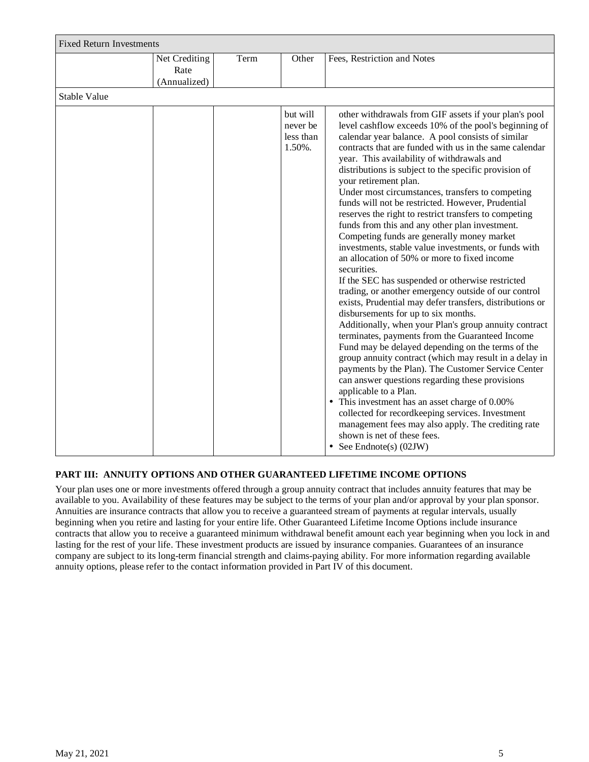|                     | <b>Fixed Return Investments</b>       |      |                                             |                                                                                                                                                                                                                                                                                                                                                                                                                                                                                                                                                                                                                                                                                                                                                                                                                                                                                                                                                                                                                                                                                                                                                                                                                                                                                                                                                                                                                                                                                                                                                                       |  |  |
|---------------------|---------------------------------------|------|---------------------------------------------|-----------------------------------------------------------------------------------------------------------------------------------------------------------------------------------------------------------------------------------------------------------------------------------------------------------------------------------------------------------------------------------------------------------------------------------------------------------------------------------------------------------------------------------------------------------------------------------------------------------------------------------------------------------------------------------------------------------------------------------------------------------------------------------------------------------------------------------------------------------------------------------------------------------------------------------------------------------------------------------------------------------------------------------------------------------------------------------------------------------------------------------------------------------------------------------------------------------------------------------------------------------------------------------------------------------------------------------------------------------------------------------------------------------------------------------------------------------------------------------------------------------------------------------------------------------------------|--|--|
|                     | Net Crediting<br>Rate<br>(Annualized) | Term | Other                                       | Fees, Restriction and Notes                                                                                                                                                                                                                                                                                                                                                                                                                                                                                                                                                                                                                                                                                                                                                                                                                                                                                                                                                                                                                                                                                                                                                                                                                                                                                                                                                                                                                                                                                                                                           |  |  |
| <b>Stable Value</b> |                                       |      |                                             |                                                                                                                                                                                                                                                                                                                                                                                                                                                                                                                                                                                                                                                                                                                                                                                                                                                                                                                                                                                                                                                                                                                                                                                                                                                                                                                                                                                                                                                                                                                                                                       |  |  |
|                     |                                       |      | but will<br>never be<br>less than<br>1.50%. | other withdrawals from GIF assets if your plan's pool<br>level cashflow exceeds 10% of the pool's beginning of<br>calendar year balance. A pool consists of similar<br>contracts that are funded with us in the same calendar<br>year. This availability of withdrawals and<br>distributions is subject to the specific provision of<br>your retirement plan.<br>Under most circumstances, transfers to competing<br>funds will not be restricted. However, Prudential<br>reserves the right to restrict transfers to competing<br>funds from this and any other plan investment.<br>Competing funds are generally money market<br>investments, stable value investments, or funds with<br>an allocation of 50% or more to fixed income<br>securities.<br>If the SEC has suspended or otherwise restricted<br>trading, or another emergency outside of our control<br>exists, Prudential may defer transfers, distributions or<br>disbursements for up to six months.<br>Additionally, when your Plan's group annuity contract<br>terminates, payments from the Guaranteed Income<br>Fund may be delayed depending on the terms of the<br>group annuity contract (which may result in a delay in<br>payments by the Plan). The Customer Service Center<br>can answer questions regarding these provisions<br>applicable to a Plan.<br>This investment has an asset charge of 0.00%<br>$\bullet$<br>collected for recordkeeping services. Investment<br>management fees may also apply. The crediting rate<br>shown is net of these fees.<br>• See Endnote(s) $(02JW)$ |  |  |

# **PART III: ANNUITY OPTIONS AND OTHER GUARANTEED LIFETIME INCOME OPTIONS**

Your plan uses one or more investments offered through a group annuity contract that includes annuity features that may be available to you. Availability of these features may be subject to the terms of your plan and/or approval by your plan sponsor. Annuities are insurance contracts that allow you to receive a guaranteed stream of payments at regular intervals, usually beginning when you retire and lasting for your entire life. Other Guaranteed Lifetime Income Options include insurance contracts that allow you to receive a guaranteed minimum withdrawal benefit amount each year beginning when you lock in and lasting for the rest of your life. These investment products are issued by insurance companies. Guarantees of an insurance company are subject to its long-term financial strength and claims-paying ability. For more information regarding available annuity options, please refer to the contact information provided in Part IV of this document.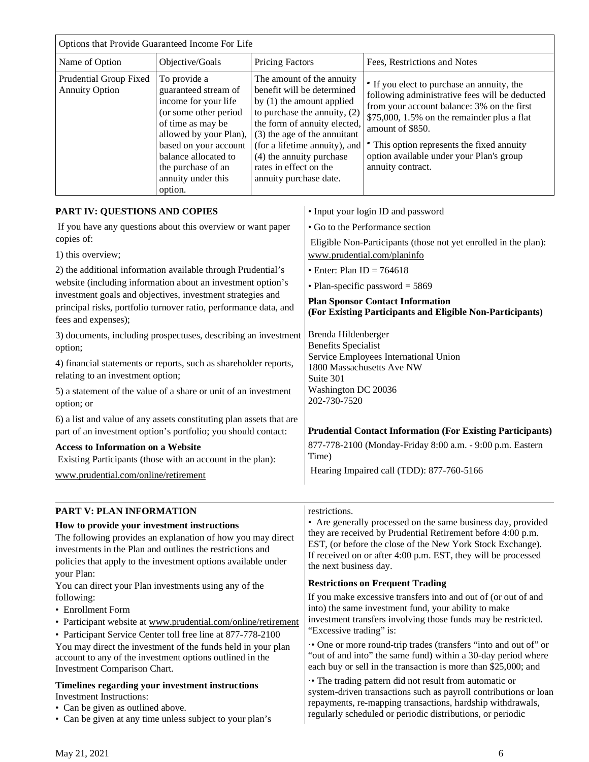|                                                                                                                                                                                      | Options that Provide Guaranteed Income For Life                                                                                                                                                                                              |                                                                                                                                                                                                                                                                                                       |                                                                                                                                                                                                                                                        |                                                                                                                                                                                                                                                                                                                              |  |
|--------------------------------------------------------------------------------------------------------------------------------------------------------------------------------------|----------------------------------------------------------------------------------------------------------------------------------------------------------------------------------------------------------------------------------------------|-------------------------------------------------------------------------------------------------------------------------------------------------------------------------------------------------------------------------------------------------------------------------------------------------------|--------------------------------------------------------------------------------------------------------------------------------------------------------------------------------------------------------------------------------------------------------|------------------------------------------------------------------------------------------------------------------------------------------------------------------------------------------------------------------------------------------------------------------------------------------------------------------------------|--|
| Name of Option<br>Objective/Goals<br>Pricing Factors                                                                                                                                 |                                                                                                                                                                                                                                              |                                                                                                                                                                                                                                                                                                       |                                                                                                                                                                                                                                                        | Fees, Restrictions and Notes                                                                                                                                                                                                                                                                                                 |  |
| Prudential Group Fixed<br><b>Annuity Option</b>                                                                                                                                      | To provide a<br>guaranteed stream of<br>income for your life<br>(or some other period<br>of time as may be<br>allowed by your Plan),<br>based on your account<br>balance allocated to<br>the purchase of an<br>annuity under this<br>option. | The amount of the annuity<br>benefit will be determined<br>by (1) the amount applied<br>to purchase the annuity, (2)<br>the form of annuity elected,<br>(3) the age of the annuitant<br>(for a lifetime annuity), and<br>(4) the annuity purchase<br>rates in effect on the<br>annuity purchase date. |                                                                                                                                                                                                                                                        | " If you elect to purchase an annuity, the<br>following administrative fees will be deducted<br>from your account balance: 3% on the first<br>\$75,000, 1.5% on the remainder plus a flat<br>amount of \$850.<br>• This option represents the fixed annuity<br>option available under your Plan's group<br>annuity contract. |  |
| PART IV: QUESTIONS AND COPIES                                                                                                                                                        |                                                                                                                                                                                                                                              |                                                                                                                                                                                                                                                                                                       |                                                                                                                                                                                                                                                        | • Input your login ID and password                                                                                                                                                                                                                                                                                           |  |
| If you have any questions about this overview or want paper                                                                                                                          |                                                                                                                                                                                                                                              |                                                                                                                                                                                                                                                                                                       |                                                                                                                                                                                                                                                        | • Go to the Performance section                                                                                                                                                                                                                                                                                              |  |
| copies of:                                                                                                                                                                           |                                                                                                                                                                                                                                              |                                                                                                                                                                                                                                                                                                       |                                                                                                                                                                                                                                                        | Eligible Non-Participants (those not yet enrolled in the plan):                                                                                                                                                                                                                                                              |  |
| 1) this overview;                                                                                                                                                                    |                                                                                                                                                                                                                                              |                                                                                                                                                                                                                                                                                                       |                                                                                                                                                                                                                                                        | www.prudential.com/planinfo                                                                                                                                                                                                                                                                                                  |  |
| 2) the additional information available through Prudential's                                                                                                                         |                                                                                                                                                                                                                                              |                                                                                                                                                                                                                                                                                                       | • Enter: Plan ID = $764618$                                                                                                                                                                                                                            |                                                                                                                                                                                                                                                                                                                              |  |
| website (including information about an investment option's                                                                                                                          |                                                                                                                                                                                                                                              |                                                                                                                                                                                                                                                                                                       |                                                                                                                                                                                                                                                        | • Plan-specific password $=$ 5869                                                                                                                                                                                                                                                                                            |  |
| investment goals and objectives, investment strategies and                                                                                                                           |                                                                                                                                                                                                                                              |                                                                                                                                                                                                                                                                                                       |                                                                                                                                                                                                                                                        | <b>Plan Sponsor Contact Information</b>                                                                                                                                                                                                                                                                                      |  |
| principal risks, portfolio turnover ratio, performance data, and<br>fees and expenses);                                                                                              |                                                                                                                                                                                                                                              |                                                                                                                                                                                                                                                                                                       | (For Existing Participants and Eligible Non-Participants)                                                                                                                                                                                              |                                                                                                                                                                                                                                                                                                                              |  |
| 3) documents, including prospectuses, describing an investment                                                                                                                       |                                                                                                                                                                                                                                              |                                                                                                                                                                                                                                                                                                       | Brenda Hildenberger                                                                                                                                                                                                                                    |                                                                                                                                                                                                                                                                                                                              |  |
| option;                                                                                                                                                                              |                                                                                                                                                                                                                                              |                                                                                                                                                                                                                                                                                                       | <b>Benefits Specialist</b>                                                                                                                                                                                                                             |                                                                                                                                                                                                                                                                                                                              |  |
| 4) financial statements or reports, such as shareholder reports,                                                                                                                     |                                                                                                                                                                                                                                              |                                                                                                                                                                                                                                                                                                       |                                                                                                                                                                                                                                                        | Service Employees International Union                                                                                                                                                                                                                                                                                        |  |
| relating to an investment option;                                                                                                                                                    |                                                                                                                                                                                                                                              |                                                                                                                                                                                                                                                                                                       | Suite 301                                                                                                                                                                                                                                              | 1800 Massachusetts Ave NW                                                                                                                                                                                                                                                                                                    |  |
| 5) a statement of the value of a share or unit of an investment<br>option; or                                                                                                        |                                                                                                                                                                                                                                              |                                                                                                                                                                                                                                                                                                       | Washington DC 20036<br>202-730-7520                                                                                                                                                                                                                    |                                                                                                                                                                                                                                                                                                                              |  |
| 6) a list and value of any assets constituting plan assets that are                                                                                                                  |                                                                                                                                                                                                                                              |                                                                                                                                                                                                                                                                                                       |                                                                                                                                                                                                                                                        |                                                                                                                                                                                                                                                                                                                              |  |
| part of an investment option's portfolio; you should contact:                                                                                                                        |                                                                                                                                                                                                                                              |                                                                                                                                                                                                                                                                                                       |                                                                                                                                                                                                                                                        | <b>Prudential Contact Information (For Existing Participants)</b>                                                                                                                                                                                                                                                            |  |
| <b>Access to Information on a Website</b>                                                                                                                                            |                                                                                                                                                                                                                                              |                                                                                                                                                                                                                                                                                                       | Time)                                                                                                                                                                                                                                                  | 877-778-2100 (Monday-Friday 8:00 a.m. - 9:00 p.m. Eastern                                                                                                                                                                                                                                                                    |  |
| Existing Participants (those with an account in the plan):                                                                                                                           |                                                                                                                                                                                                                                              |                                                                                                                                                                                                                                                                                                       |                                                                                                                                                                                                                                                        | Hearing Impaired call (TDD): 877-760-5166                                                                                                                                                                                                                                                                                    |  |
| www.prudential.com/online/retirement                                                                                                                                                 |                                                                                                                                                                                                                                              |                                                                                                                                                                                                                                                                                                       |                                                                                                                                                                                                                                                        |                                                                                                                                                                                                                                                                                                                              |  |
| <b>PART V: PLAN INFORMATION</b>                                                                                                                                                      |                                                                                                                                                                                                                                              |                                                                                                                                                                                                                                                                                                       | restrictions.                                                                                                                                                                                                                                          |                                                                                                                                                                                                                                                                                                                              |  |
| How to provide your investment instructions                                                                                                                                          |                                                                                                                                                                                                                                              |                                                                                                                                                                                                                                                                                                       | • Are generally processed on the same business day, provided                                                                                                                                                                                           |                                                                                                                                                                                                                                                                                                                              |  |
| The following provides an explanation of how you may direct                                                                                                                          |                                                                                                                                                                                                                                              |                                                                                                                                                                                                                                                                                                       | they are received by Prudential Retirement before 4:00 p.m.<br>EST, (or before the close of the New York Stock Exchange).                                                                                                                              |                                                                                                                                                                                                                                                                                                                              |  |
| investments in the Plan and outlines the restrictions and<br>policies that apply to the investment options available under                                                           |                                                                                                                                                                                                                                              |                                                                                                                                                                                                                                                                                                       | If received on or after 4:00 p.m. EST, they will be processed                                                                                                                                                                                          |                                                                                                                                                                                                                                                                                                                              |  |
| your Plan:                                                                                                                                                                           |                                                                                                                                                                                                                                              |                                                                                                                                                                                                                                                                                                       | the next business day.                                                                                                                                                                                                                                 |                                                                                                                                                                                                                                                                                                                              |  |
| You can direct your Plan investments using any of the                                                                                                                                |                                                                                                                                                                                                                                              |                                                                                                                                                                                                                                                                                                       | <b>Restrictions on Frequent Trading</b>                                                                                                                                                                                                                |                                                                                                                                                                                                                                                                                                                              |  |
| following:                                                                                                                                                                           |                                                                                                                                                                                                                                              |                                                                                                                                                                                                                                                                                                       | If you make excessive transfers into and out of (or out of and                                                                                                                                                                                         |                                                                                                                                                                                                                                                                                                                              |  |
| • Enrollment Form<br>• Participant website at www.prudential.com/online/retirement                                                                                                   |                                                                                                                                                                                                                                              |                                                                                                                                                                                                                                                                                                       |                                                                                                                                                                                                                                                        | into) the same investment fund, your ability to make<br>investment transfers involving those funds may be restricted.                                                                                                                                                                                                        |  |
| • Participant Service Center toll free line at 877-778-2100                                                                                                                          |                                                                                                                                                                                                                                              |                                                                                                                                                                                                                                                                                                       | "Excessive trading" is:                                                                                                                                                                                                                                |                                                                                                                                                                                                                                                                                                                              |  |
| You may direct the investment of the funds held in your plan<br>account to any of the investment options outlined in the<br>Investment Comparison Chart.                             |                                                                                                                                                                                                                                              |                                                                                                                                                                                                                                                                                                       | • One or more round-trip trades (transfers "into and out of" or<br>"out of and into" the same fund) within a 30-day period where<br>each buy or sell in the transaction is more than \$25,000; and                                                     |                                                                                                                                                                                                                                                                                                                              |  |
| Timelines regarding your investment instructions<br><b>Investment Instructions:</b><br>• Can be given as outlined above.<br>• Can be given at any time unless subject to your plan's |                                                                                                                                                                                                                                              |                                                                                                                                                                                                                                                                                                       | • The trading pattern did not result from automatic or<br>system-driven transactions such as payroll contributions or loan<br>repayments, re-mapping transactions, hardship withdrawals,<br>regularly scheduled or periodic distributions, or periodic |                                                                                                                                                                                                                                                                                                                              |  |

• Can be given at any time unless subject to your plan's